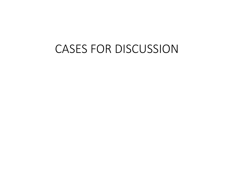## CASES FOR DISCUSSION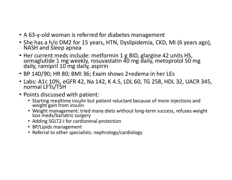- A 63‐y‐old woman is referred for diabetes management
- She has a h/o DM2 for 15 years, HTN, Dyslipidemia, CKD, MI (6 years ago), NASH and Sleep apnea
- Her current meds include: metformin 1 g BID, glargine 42 units HS, semaglutide 1 mg weekly, rosuvastatin 40 mg daily, metoprolol 50 mg daily, ramipril 10 mg daily, aspirin
- BP 140/90; HR 80; BMI 36; Exam shows 2+edema in her LEs
- Labs: A1c 10%, eGFR 42, Na 142, K 4.5, LDL 60, TG 258, HDL 32, UACR 345, normal LFTs/TSH
- Points discussed with patient:
	- Starting mealtime insulin but patient reluctant because of more injections and weight gain from insulin
	- Weight management: tried many diets without long-term success, refuses weight loss meds/bariatric surgery
	- Adding SGLT2‐I for cardiorenal protection
	- BP/Lipids management
	- Referral to other specialists: nephrology/cardiology